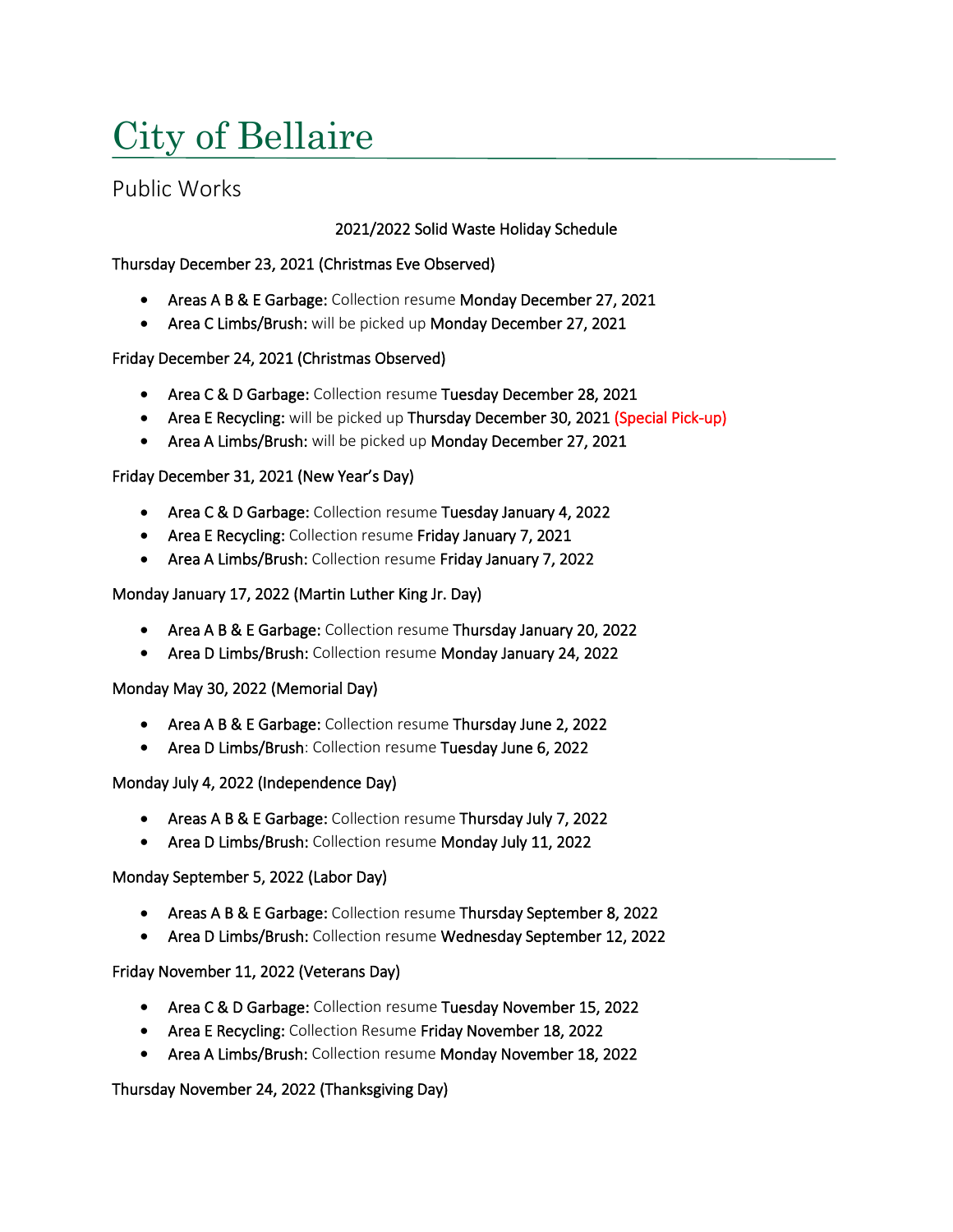# City of Bellaire

# Public Works

# 2021/2022 Solid Waste Holiday Schedule

# Thursday December 23, 2021 (Christmas Eve Observed)

- Areas A B & E Garbage: Collection resume Monday December 27, 2021
- Area C Limbs/Brush: will be picked up Monday December 27, 2021

#### Friday December 24, 2021 (Christmas Observed)

- Area C & D Garbage: Collection resume Tuesday December 28, 2021
- Area E Recycling: will be picked up Thursday December 30, 2021 (Special Pick-up)
- Area A Limbs/Brush: will be picked up Monday December 27, 2021

# Friday December 31, 2021 (New Year's Day)

- Area C & D Garbage: Collection resume Tuesday January 4, 2022
- Area E Recycling: Collection resume Friday January 7, 2021
- Area A Limbs/Brush: Collection resume Friday January 7, 2022

# Monday January 17, 2022 (Martin Luther King Jr. Day)

- Area A B & E Garbage: Collection resume Thursday January 20, 2022
- Area D Limbs/Brush: Collection resume Monday January 24, 2022

#### Monday May 30, 2022 (Memorial Day)

- Area A B & E Garbage: Collection resume Thursday June 2, 2022
- Area D Limbs/Brush: Collection resume Tuesday June 6, 2022

#### Monday July 4, 2022 (Independence Day)

- Areas A B & E Garbage: Collection resume Thursday July 7, 2022
- Area D Limbs/Brush: Collection resume Monday July 11, 2022

#### Monday September 5, 2022 (Labor Day)

- Areas A B & E Garbage: Collection resume Thursday September 8, 2022
- Area D Limbs/Brush: Collection resume Wednesday September 12, 2022

#### Friday November 11, 2022 (Veterans Day)

- Area C & D Garbage: Collection resume Tuesday November 15, 2022
- Area E Recycling: Collection Resume Friday November 18, 2022
- Area A Limbs/Brush: Collection resume Monday November 18, 2022

# Thursday November 24, 2022 (Thanksgiving Day)